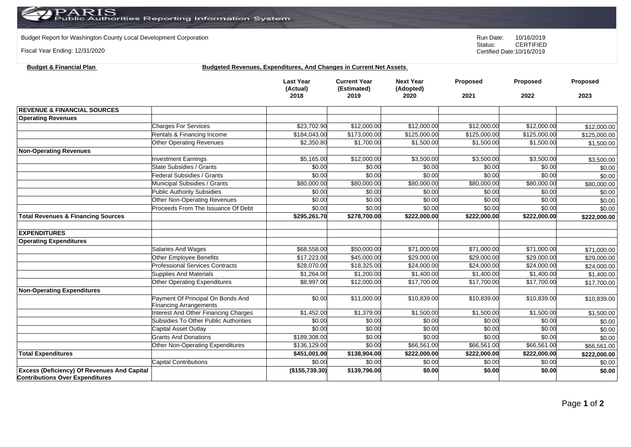**Budget & Financial Plan Budgeted Revenues, Expenditures, And Changes in Current Net Assets**.

Budget Report for Washington County Local Development Corporation **Run Date:** 10/16/2019<br>Status: CERTIFIED

Fiscal Year Ending: 12/31/2020

CERTIFIED Certified Date:10/16/2019

|                                                                                              |                                             | <b>Last Year</b><br>(Actual)<br>2018 | <b>Current Year</b><br>(Estimated)<br>2019 | <b>Next Year</b><br>(Adopted)<br>2020 | Proposed<br>2021 | Proposed<br>2022        | Proposed<br>2023 |
|----------------------------------------------------------------------------------------------|---------------------------------------------|--------------------------------------|--------------------------------------------|---------------------------------------|------------------|-------------------------|------------------|
|                                                                                              |                                             |                                      |                                            |                                       |                  |                         |                  |
| <b>REVENUE &amp; FINANCIAL SOURCES</b>                                                       |                                             |                                      |                                            |                                       |                  |                         |                  |
| <b>Operating Revenues</b>                                                                    |                                             |                                      |                                            |                                       |                  |                         |                  |
|                                                                                              | <b>Charges For Services</b>                 | \$23,702.90                          | \$12,000.00                                | \$12,000.00                           | \$12,000.00      | \$12,000.00             | \$12,000.00      |
|                                                                                              | Rentals & Financing Income                  | \$184,043.00                         | \$173,000.00                               | \$125,000.00                          | \$125,000.00     | \$125,000.00            | \$125,000.00     |
|                                                                                              | <b>Other Operating Revenues</b>             | \$2,350.80                           | \$1,700.00                                 | \$1,500.00                            | \$1,500.00       | \$1,500.00              | \$1,500.00       |
| <b>Non-Operating Revenues</b>                                                                |                                             |                                      |                                            |                                       |                  |                         |                  |
|                                                                                              | <b>Investment Earnings</b>                  | \$5,165.00                           | \$12,000.00                                | \$3,500.00                            | \$3,500.00       | \$3,500.00              | \$3,500.00       |
|                                                                                              | <b>State Subsidies / Grants</b>             | \$0.00                               | \$0.00                                     | \$0.00                                | \$0.00           | \$0.00                  | \$0.00           |
|                                                                                              | Federal Subsidies / Grants                  | \$0.00                               | \$0.00                                     | \$0.00                                | \$0.00           | \$0.00                  | \$0.00           |
|                                                                                              | Municipal Subsidies / Grants                | \$80,000.00                          | \$80,000.00                                | \$80,000.00                           | \$80,000.00      | \$80,000.00             | \$80,000.00      |
|                                                                                              | <b>Public Authority Subsidies</b>           | \$0.00                               | \$0.00                                     | \$0.00                                | \$0.00           | \$0.00                  | \$0.00           |
|                                                                                              | <b>Other Non-Operating Revenues</b>         | \$0.00                               | \$0.00                                     | \$0.00                                | \$0.00           | \$0.00                  | \$0.00           |
|                                                                                              | Proceeds From The Issuance Of Debt          | \$0.00                               | \$0.00                                     | \$0.00                                | \$0.00           | \$0.00                  | \$0.00           |
| <b>Total Revenues &amp; Financing Sources</b>                                                |                                             | \$295,261.70                         | \$278,700.00                               | \$222,000.00                          | \$222,000.00     | \$222,000.00            | \$222,000.00     |
|                                                                                              |                                             |                                      |                                            |                                       |                  |                         |                  |
| <b>EXPENDITURES</b>                                                                          |                                             |                                      |                                            |                                       |                  |                         |                  |
| <b>Operating Expenditures</b>                                                                |                                             |                                      |                                            |                                       |                  |                         |                  |
|                                                                                              | <b>Salaries And Wages</b>                   | \$68,558.00                          | \$50,000.00                                | \$71,000.00                           | \$71,000.00      | \$71,000.00             | \$71,000.00      |
|                                                                                              | <b>Other Employee Benefits</b>              | \$17,223.00                          | \$45,000.00                                | \$29,000.00                           | \$29,000.00      | \$29,000.00             | \$29,000.00      |
|                                                                                              | <b>Professional Services Contracts</b>      | \$28,070.00                          | \$18,325.00                                | \$24,000.00                           | \$24,000.00      | \$24,000.00             | \$24,000.00      |
|                                                                                              | <b>Supplies And Materials</b>               | \$1,264.00                           | \$1,200.00                                 | \$1,400.00                            | \$1,400.00       | \$1,400.00              | \$1,400.00       |
|                                                                                              | Other Operating Expenditures                | \$8,997.00                           | \$12,000.00                                | \$17,700.00                           | \$17,700.00      | \$17,700.00             | \$17,700.00      |
| <b>Non-Operating Expenditures</b>                                                            |                                             |                                      |                                            |                                       |                  |                         |                  |
|                                                                                              | Payment Of Principal On Bonds And           | \$0.00                               | \$11,000.00                                | \$10,839.00                           | \$10,839.00      | $\overline{$}10,839.00$ | \$10,839.00      |
|                                                                                              | <b>Financing Arrangements</b>               |                                      |                                            |                                       |                  |                         |                  |
|                                                                                              | <b>Interest And Other Financing Charges</b> | \$1,452.00                           | \$1,379.00                                 | \$1,500.00                            | \$1,500.00       | \$1,500.00              | \$1,500.00       |
|                                                                                              | Subsidies To Other Public Authorities       | \$0.00                               | \$0.00                                     | \$0.00                                | \$0.00           | \$0.00                  | \$0.00           |
|                                                                                              | Capital Asset Outlay                        | \$0.00                               | \$0.00                                     | \$0.00                                | \$0.00           | \$0.00                  | \$0.00           |
|                                                                                              | <b>Grants And Donations</b>                 | \$189,308.00                         | \$0.00                                     | \$0.00                                | \$0.00           | \$0.00                  | \$0.00           |
|                                                                                              | Other Non-Operating Expenditures            | \$136,129.00                         | \$0.00                                     | \$66,561.00                           | \$66,561.00      | \$66,561.00             | \$66,561.00      |
| <b>Total Expenditures</b>                                                                    |                                             | \$451,001.00                         | \$138,904.00                               | \$222,000.00                          | \$222,000.00     | \$222,000.00            | \$222,000.00     |
|                                                                                              | <b>Capital Contributions</b>                | \$0.00                               | \$0.00                                     | \$0.00                                | \$0.00           | \$0.00                  | \$0.00           |
| <b>Excess (Deficiency) Of Revenues And Capital</b><br><b>Contributions Over Expenditures</b> |                                             | (\$155,739.30)                       | \$139,796.00                               | \$0.00                                | \$0.00           | \$0.00                  | \$0.00           |